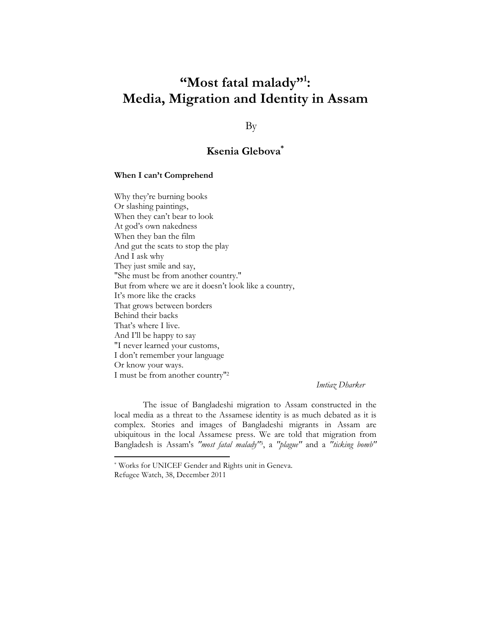# "Most fatal malady"<sup>1</sup>: Media, Migration and Identity in Assam

By

# Ksenia Glebova\*

#### When I can't Comprehend

Why they're burning books Or slashing paintings, When they can't bear to look At god's own nakedness When they ban the film And gut the scats to stop the play And I ask why They just smile and say, "She must be from another country." But from where we are it doesn't look like a country, It's more like the cracks That grows between borders Behind their backs That's where I live. And I'll be happy to say "I never learned your customs, I don't remember your language Or know your ways. I must be from another country"<sup>2</sup>

Imtiaz Dharker

 The issue of Bangladeshi migration to Assam constructed in the local media as a threat to the Assamese identity is as much debated as it is complex. Stories and images of Bangladeshi migrants in Assam are ubiquitous in the local Assamese press. We are told that migration from Bangladesh is Assam's "most fatal malady"<sup>3</sup>, a "plague" and a "ticking bomb"

l

<sup>\*</sup> Works for UNICEF Gender and Rights unit in Geneva.

Refugee Watch, 38, December 2011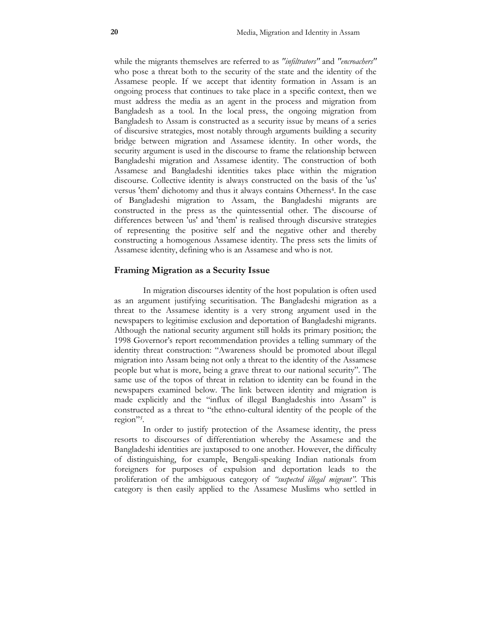while the migrants themselves are referred to as "infiltrators" and "encroachers" who pose a threat both to the security of the state and the identity of the Assamese people. If we accept that identity formation in Assam is an ongoing process that continues to take place in a specific context, then we must address the media as an agent in the process and migration from Bangladesh as a tool. In the local press, the ongoing migration from Bangladesh to Assam is constructed as a security issue by means of a series of discursive strategies, most notably through arguments building a security bridge between migration and Assamese identity. In other words, the security argument is used in the discourse to frame the relationship between Bangladeshi migration and Assamese identity. The construction of both Assamese and Bangladeshi identities takes place within the migration discourse. Collective identity is always constructed on the basis of the 'us' versus 'them' dichotomy and thus it always contains Otherness<sup>4</sup>. In the case of Bangladeshi migration to Assam, the Bangladeshi migrants are constructed in the press as the quintessential other. The discourse of differences between 'us' and 'them' is realised through discursive strategies of representing the positive self and the negative other and thereby constructing a homogenous Assamese identity. The press sets the limits of Assamese identity, defining who is an Assamese and who is not.

#### Framing Migration as a Security Issue

 In migration discourses identity of the host population is often used as an argument justifying securitisation. The Bangladeshi migration as a threat to the Assamese identity is a very strong argument used in the newspapers to legitimise exclusion and deportation of Bangladeshi migrants. Although the national security argument still holds its primary position; the 1998 Governor's report recommendation provides a telling summary of the identity threat construction: "Awareness should be promoted about illegal migration into Assam being not only a threat to the identity of the Assamese people but what is more, being a grave threat to our national security". The same use of the topos of threat in relation to identity can be found in the newspapers examined below. The link between identity and migration is made explicitly and the "influx of illegal Bangladeshis into Assam" is constructed as a threat to "the ethno-cultural identity of the people of the region"<sup>5</sup> .

 In order to justify protection of the Assamese identity, the press resorts to discourses of differentiation whereby the Assamese and the Bangladeshi identities are juxtaposed to one another. However, the difficulty of distinguishing, for example, Bengali-speaking Indian nationals from foreigners for purposes of expulsion and deportation leads to the proliferation of the ambiguous category of "suspected illegal migrant". This category is then easily applied to the Assamese Muslims who settled in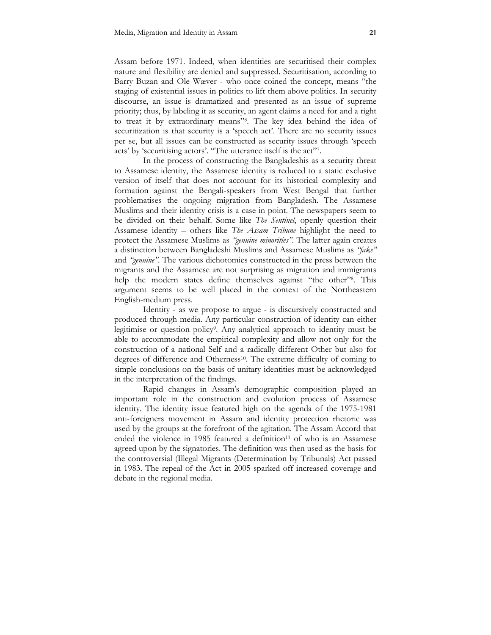Assam before 1971. Indeed, when identities are securitised their complex nature and flexibility are denied and suppressed. Securitisation, according to Barry Buzan and Ole Wæver - who once coined the concept, means "the staging of existential issues in politics to lift them above politics. In security discourse, an issue is dramatized and presented as an issue of supreme priority; thus, by labeling it as security, an agent claims a need for and a right to treat it by extraordinary means"<sup>6</sup> . The key idea behind the idea of securitization is that security is a 'speech act'. There are no security issues per se, but all issues can be constructed as security issues through 'speech acts' by 'securitising actors'. "The utterance itself is the act"<sup>7</sup> .

 In the process of constructing the Bangladeshis as a security threat to Assamese identity, the Assamese identity is reduced to a static exclusive version of itself that does not account for its historical complexity and formation against the Bengali-speakers from West Bengal that further problematises the ongoing migration from Bangladesh. The Assamese Muslims and their identity crisis is a case in point. The newspapers seem to be divided on their behalf. Some like The Sentinel, openly question their Assamese identity – others like *The Assam Tribune* highlight the need to protect the Assamese Muslims as "genuine minorities". The latter again creates a distinction between Bangladeshi Muslims and Assamese Muslims as "fake" and "*genuine*". The various dichotomies constructed in the press between the migrants and the Assamese are not surprising as migration and immigrants help the modern states define themselves against "the other"<sup>8</sup> . This argument seems to be well placed in the context of the Northeastern English-medium press.

 Identity - as we propose to argue - is discursively constructed and produced through media. Any particular construction of identity can either legitimise or question policy<sup>9</sup> . Any analytical approach to identity must be able to accommodate the empirical complexity and allow not only for the construction of a national Self and a radically different Other but also for degrees of difference and Otherness<sup>10</sup>. The extreme difficulty of coming to simple conclusions on the basis of unitary identities must be acknowledged in the interpretation of the findings.

 Rapid changes in Assam's demographic composition played an important role in the construction and evolution process of Assamese identity. The identity issue featured high on the agenda of the 1975-1981 anti-foreigners movement in Assam and identity protection rhetoric was used by the groups at the forefront of the agitation. The Assam Accord that ended the violence in 1985 featured a definition<sup>11</sup> of who is an Assamese agreed upon by the signatories. The definition was then used as the basis for the controversial (Illegal Migrants (Determination by Tribunals) Act passed in 1983. The repeal of the Act in 2005 sparked off increased coverage and debate in the regional media.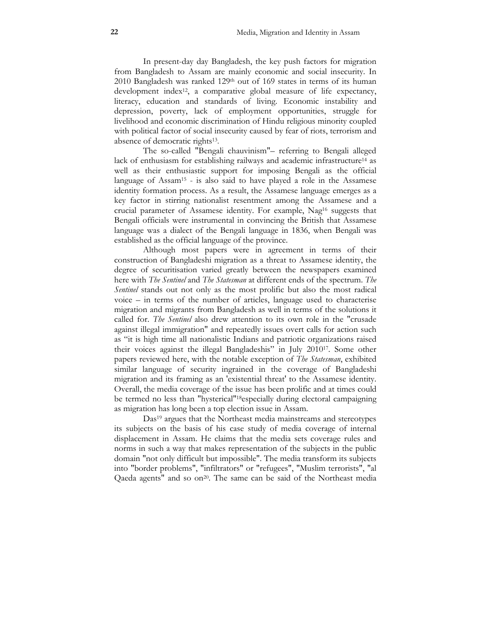In present-day day Bangladesh, the key push factors for migration from Bangladesh to Assam are mainly economic and social insecurity. In 2010 Bangladesh was ranked 129<sup>th</sup> out of 169 states in terms of its human development index<sup>12</sup>, a comparative global measure of life expectancy, literacy, education and standards of living. Economic instability and depression, poverty, lack of employment opportunities, struggle for livelihood and economic discrimination of Hindu religious minority coupled with political factor of social insecurity caused by fear of riots, terrorism and absence of democratic rights<sup>13</sup> .

 The so-called "Bengali chauvinism"– referring to Bengali alleged lack of enthusiasm for establishing railways and academic infrastructure<sup>14</sup> as well as their enthusiastic support for imposing Bengali as the official language of Assam<sup>15</sup> - is also said to have played a role in the Assamese identity formation process. As a result, the Assamese language emerges as a key factor in stirring nationalist resentment among the Assamese and a crucial parameter of Assamese identity. For example, Nag16 suggests that Bengali officials were instrumental in convincing the British that Assamese language was a dialect of the Bengali language in 1836, when Bengali was established as the official language of the province.

 Although most papers were in agreement in terms of their construction of Bangladeshi migration as a threat to Assamese identity, the degree of securitisation varied greatly between the newspapers examined here with The Sentinel and The Statesman at different ends of the spectrum. The Sentinel stands out not only as the most prolific but also the most radical voice – in terms of the number of articles, language used to characterise migration and migrants from Bangladesh as well in terms of the solutions it called for. *The Sentinel* also drew attention to its own role in the "crusade" against illegal immigration" and repeatedly issues overt calls for action such as "it is high time all nationalistic Indians and patriotic organizations raised their voices against the illegal Bangladeshis" in July 201017. Some other papers reviewed here, with the notable exception of The Statesman, exhibited similar language of security ingrained in the coverage of Bangladeshi migration and its framing as an 'existential threat' to the Assamese identity. Overall, the media coverage of the issue has been prolific and at times could be termed no less than "hysterical"18especially during electoral campaigning as migration has long been a top election issue in Assam.

 Das19 argues that the Northeast media mainstreams and stereotypes its subjects on the basis of his case study of media coverage of internal displacement in Assam. He claims that the media sets coverage rules and norms in such a way that makes representation of the subjects in the public domain "not only difficult but impossible". The media transform its subjects into "border problems", "infiltrators" or "refugees", "Muslim terrorists", "al Qaeda agents" and so on<sup>20</sup>. The same can be said of the Northeast media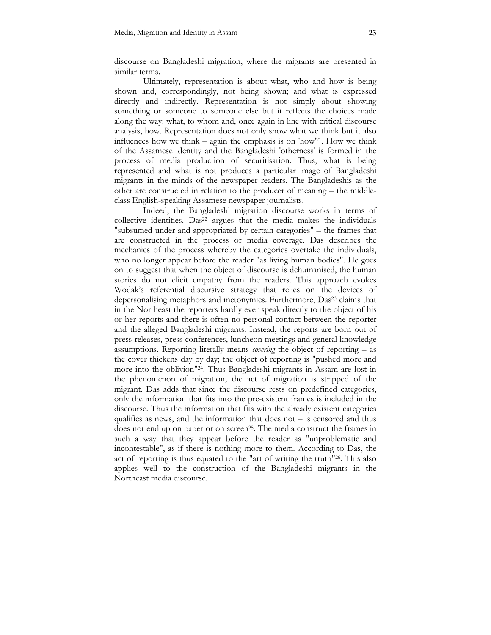discourse on Bangladeshi migration, where the migrants are presented in similar terms.

 Ultimately, representation is about what, who and how is being shown and, correspondingly, not being shown; and what is expressed directly and indirectly. Representation is not simply about showing something or someone to someone else but it reflects the choices made along the way: what, to whom and, once again in line with critical discourse analysis, how. Representation does not only show what we think but it also influences how we think – again the emphasis is on 'how'21. How we think of the Assamese identity and the Bangladeshi 'otherness' is formed in the process of media production of securitisation. Thus, what is being represented and what is not produces a particular image of Bangladeshi migrants in the minds of the newspaper readers. The Bangladeshis as the other are constructed in relation to the producer of meaning – the middleclass English-speaking Assamese newspaper journalists.

 Indeed, the Bangladeshi migration discourse works in terms of collective identities. Das<sup>22</sup> argues that the media makes the individuals "subsumed under and appropriated by certain categories" – the frames that are constructed in the process of media coverage. Das describes the mechanics of the process whereby the categories overtake the individuals, who no longer appear before the reader "as living human bodies". He goes on to suggest that when the object of discourse is dehumanised, the human stories do not elicit empathy from the readers. This approach evokes Wodak's referential discursive strategy that relies on the devices of depersonalising metaphors and metonymies. Furthermore, Das23 claims that in the Northeast the reporters hardly ever speak directly to the object of his or her reports and there is often no personal contact between the reporter and the alleged Bangladeshi migrants. Instead, the reports are born out of press releases, press conferences, luncheon meetings and general knowledge assumptions. Reporting literally means *covering* the object of reporting – as the cover thickens day by day; the object of reporting is "pushed more and more into the oblivion"24. Thus Bangladeshi migrants in Assam are lost in the phenomenon of migration; the act of migration is stripped of the migrant. Das adds that since the discourse rests on predefined categories, only the information that fits into the pre-existent frames is included in the discourse. Thus the information that fits with the already existent categories qualifies as news, and the information that does not – is censored and thus does not end up on paper or on screen<sup>25</sup>. The media construct the frames in such a way that they appear before the reader as "unproblematic and incontestable", as if there is nothing more to them. According to Das, the act of reporting is thus equated to the "art of writing the truth"26. This also applies well to the construction of the Bangladeshi migrants in the Northeast media discourse.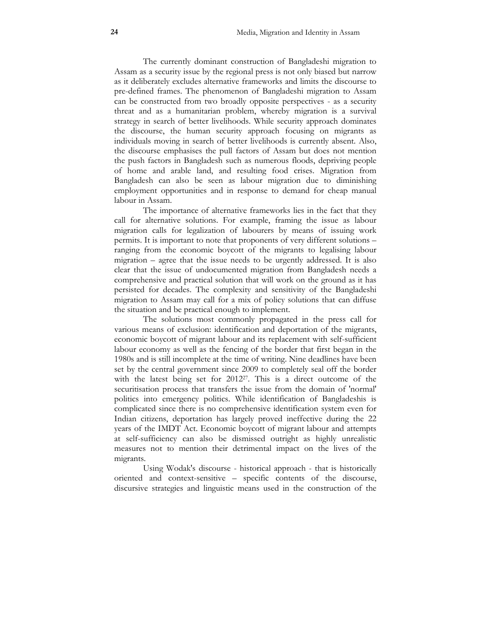The currently dominant construction of Bangladeshi migration to Assam as a security issue by the regional press is not only biased but narrow as it deliberately excludes alternative frameworks and limits the discourse to pre-defined frames. The phenomenon of Bangladeshi migration to Assam can be constructed from two broadly opposite perspectives - as a security threat and as a humanitarian problem, whereby migration is a survival strategy in search of better livelihoods. While security approach dominates the discourse, the human security approach focusing on migrants as individuals moving in search of better livelihoods is currently absent. Also, the discourse emphasises the pull factors of Assam but does not mention the push factors in Bangladesh such as numerous floods, depriving people of home and arable land, and resulting food crises. Migration from Bangladesh can also be seen as labour migration due to diminishing employment opportunities and in response to demand for cheap manual labour in Assam.

 The importance of alternative frameworks lies in the fact that they call for alternative solutions. For example, framing the issue as labour migration calls for legalization of labourers by means of issuing work permits. It is important to note that proponents of very different solutions – ranging from the economic boycott of the migrants to legalising labour migration – agree that the issue needs to be urgently addressed. It is also clear that the issue of undocumented migration from Bangladesh needs a comprehensive and practical solution that will work on the ground as it has persisted for decades. The complexity and sensitivity of the Bangladeshi migration to Assam may call for a mix of policy solutions that can diffuse the situation and be practical enough to implement.

 The solutions most commonly propagated in the press call for various means of exclusion: identification and deportation of the migrants, economic boycott of migrant labour and its replacement with self-sufficient labour economy as well as the fencing of the border that first began in the 1980s and is still incomplete at the time of writing. Nine deadlines have been set by the central government since 2009 to completely seal off the border with the latest being set for 201227. This is a direct outcome of the securitisation process that transfers the issue from the domain of 'normal' politics into emergency politics. While identification of Bangladeshis is complicated since there is no comprehensive identification system even for Indian citizens, deportation has largely proved ineffective during the 22 years of the IMDT Act. Economic boycott of migrant labour and attempts at self-sufficiency can also be dismissed outright as highly unrealistic measures not to mention their detrimental impact on the lives of the migrants.

 Using Wodak's discourse - historical approach - that is historically oriented and context-sensitive – specific contents of the discourse, discursive strategies and linguistic means used in the construction of the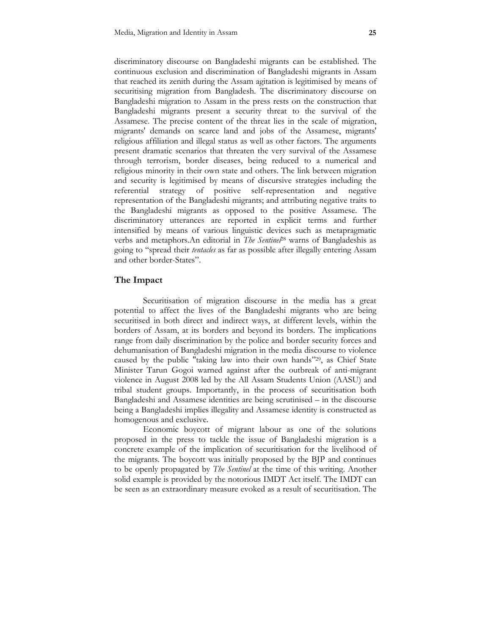discriminatory discourse on Bangladeshi migrants can be established. The continuous exclusion and discrimination of Bangladeshi migrants in Assam that reached its zenith during the Assam agitation is legitimised by means of securitising migration from Bangladesh. The discriminatory discourse on Bangladeshi migration to Assam in the press rests on the construction that Bangladeshi migrants present a security threat to the survival of the Assamese. The precise content of the threat lies in the scale of migration, migrants' demands on scarce land and jobs of the Assamese, migrants' religious affiliation and illegal status as well as other factors. The arguments present dramatic scenarios that threaten the very survival of the Assamese through terrorism, border diseases, being reduced to a numerical and religious minority in their own state and others. The link between migration and security is legitimised by means of discursive strategies including the referential strategy of positive self-representation and negative representation of the Bangladeshi migrants; and attributing negative traits to the Bangladeshi migrants as opposed to the positive Assamese. The discriminatory utterances are reported in explicit terms and further intensified by means of various linguistic devices such as metapragmatic verbs and metaphors.An editorial in The Sentinel<sup>28</sup> warns of Bangladeshis as going to "spread their *tentacles* as far as possible after illegally entering Assam and other border-States".

#### The Impact

 Securitisation of migration discourse in the media has a great potential to affect the lives of the Bangladeshi migrants who are being securitised in both direct and indirect ways, at different levels, within the borders of Assam, at its borders and beyond its borders. The implications range from daily discrimination by the police and border security forces and dehumanisation of Bangladeshi migration in the media discourse to violence caused by the public "taking law into their own hands" <sup>29</sup>, as Chief State Minister Tarun Gogoi warned against after the outbreak of anti-migrant violence in August 2008 led by the All Assam Students Union (AASU) and tribal student groups. Importantly, in the process of securitisation both Bangladeshi and Assamese identities are being scrutinised – in the discourse being a Bangladeshi implies illegality and Assamese identity is constructed as homogenous and exclusive.

 Economic boycott of migrant labour as one of the solutions proposed in the press to tackle the issue of Bangladeshi migration is a concrete example of the implication of securitisation for the livelihood of the migrants. The boycott was initially proposed by the BJP and continues to be openly propagated by The Sentinel at the time of this writing. Another solid example is provided by the notorious IMDT Act itself. The IMDT can be seen as an extraordinary measure evoked as a result of securitisation. The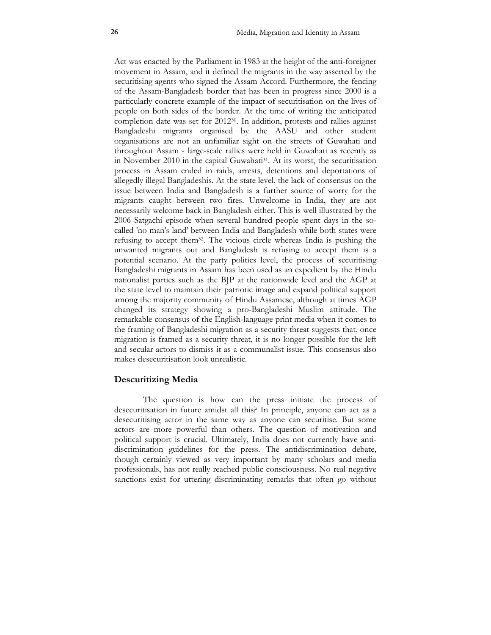Act was enacted by the Parliament in 1983 at the height of the anti-foreigner movement in Assam, and it defined the migrants in the way asserted by the securitising agents who signed the Assam Accord. Furthermore, the fencing of the Assam-Bangladesh border that has been in progress since 2000 is a particularly concrete example of the impact of securitisation on the lives of people on both sides of the border. At the time of writing the anticipated completion date was set for 201230. In addition, protests and rallies against Bangladeshi migrants organised by the AASU and other student organisations are not an unfamiliar sight on the streets of Guwahati and throughout Assam - large-scale rallies were held in Guwahati as recently as in November 2010 in the capital Guwahati<sup>31</sup>. At its worst, the securitisation process in Assam ended in raids, arrests, detentions and deportations of allegedly illegal Bangladeshis. At the state level, the lack of consensus on the issue between India and Bangladesh is a further source of worry for the migrants caught between two fires. Unwelcome in India, they are not necessarily welcome back in Bangladesh either. This is well illustrated by the 2006 Satgachi episode when several hundred people spent days in the socalled 'no man's land' between India and Bangladesh while both states were refusing to accept them32. The vicious circle whereas India is pushing the unwanted migrants out and Bangladesh is refusing to accept them is a potential scenario. At the party politics level, the process of securitising Bangladeshi migrants in Assam has been used as an expedient by the Hindu nationalist parties such as the BJP at the nationwide level and the AGP at the state level to maintain their patriotic image and expand political support among the majority community of Hindu Assamese, although at times AGP changed its strategy showing a pro-Bangladeshi Muslim attitude. The remarkable consensus of the English-language print media when it comes to the framing of Bangladeshi migration as a security threat suggests that, once migration is framed as a security threat, it is no longer possible for the left and secular actors to dismiss it as a communalist issue. This consensus also makes desecuritisation look unrealistic.

## Descuritizing Media

 The question is how can the press initiate the process of desecuritisation in future amidst all this? In principle, anyone can act as a desecuritising actor in the same way as anyone can securitise. But some actors are more powerful than others. The question of motivation and political support is crucial. Ultimately, India does not currently have antidiscrimination guidelines for the press. The antidiscrimination debate, though certainly viewed as very important by many scholars and media professionals, has not really reached public consciousness. No real negative sanctions exist for uttering discriminating remarks that often go without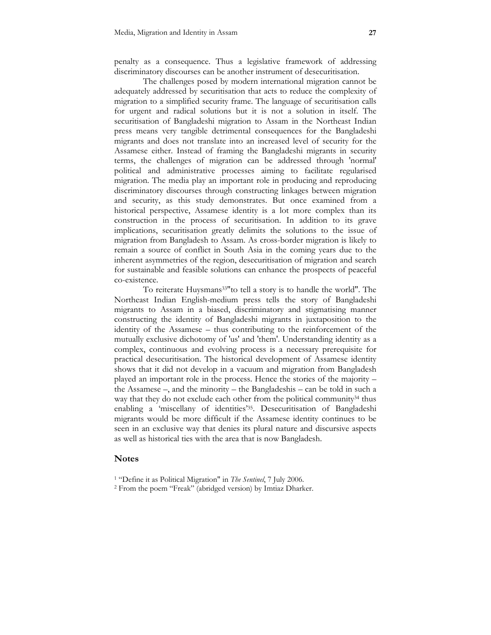penalty as a consequence. Thus a legislative framework of addressing discriminatory discourses can be another instrument of desecuritisation.

 The challenges posed by modern international migration cannot be adequately addressed by securitisation that acts to reduce the complexity of migration to a simplified security frame. The language of securitisation calls for urgent and radical solutions but it is not a solution in itself. The securitisation of Bangladeshi migration to Assam in the Northeast Indian press means very tangible detrimental consequences for the Bangladeshi migrants and does not translate into an increased level of security for the Assamese either. Instead of framing the Bangladeshi migrants in security terms, the challenges of migration can be addressed through 'normal' political and administrative processes aiming to facilitate regularised migration. The media play an important role in producing and reproducing discriminatory discourses through constructing linkages between migration and security, as this study demonstrates. But once examined from a historical perspective, Assamese identity is a lot more complex than its construction in the process of securitisation. In addition to its grave implications, securitisation greatly delimits the solutions to the issue of migration from Bangladesh to Assam. As cross-border migration is likely to remain a source of conflict in South Asia in the coming years due to the inherent asymmetries of the region, desecuritisation of migration and search for sustainable and feasible solutions can enhance the prospects of peaceful co-existence.

 To reiterate Huysmans33"to tell a story is to handle the world". The Northeast Indian English-medium press tells the story of Bangladeshi migrants to Assam in a biased, discriminatory and stigmatising manner constructing the identity of Bangladeshi migrants in juxtaposition to the identity of the Assamese – thus contributing to the reinforcement of the mutually exclusive dichotomy of 'us' and 'them'. Understanding identity as a complex, continuous and evolving process is a necessary prerequisite for practical desecuritisation. The historical development of Assamese identity shows that it did not develop in a vacuum and migration from Bangladesh played an important role in the process. Hence the stories of the majority – the Assamese –, and the minority – the Bangladeshis – can be told in such a way that they do not exclude each other from the political community<sup>34</sup> thus enabling a 'miscellany of identities'35. Desecuritisation of Bangladeshi migrants would be more difficult if the Assamese identity continues to be seen in an exclusive way that denies its plural nature and discursive aspects as well as historical ties with the area that is now Bangladesh.

#### Notes

2 From the poem "Freak" (abridged version) by Imtiaz Dharker.

<sup>&</sup>lt;sup>1</sup> "Define it as Political Migration" in *The Sentinel*, 7 July 2006.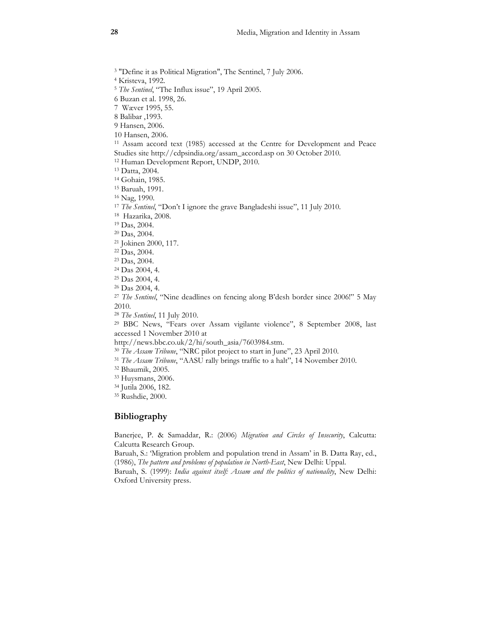3 "Define it as Political Migration", The Sentinel, 7 July 2006.

4 Kristeva, 1992.

<sup>5</sup> The Sentinel, "The Influx issue", 19 April 2005.

6 Buzan et al. 1998, 26.

7 Wæver 1995, 55.

8 Balibar ,1993.

9 Hansen, 2006.

10 Hansen, 2006.

<sup>11</sup> Assam accord text (1985) accessed at the Centre for Development and Peace Studies site http://cdpsindia.org/assam\_accord.asp on 30 October 2010.

<sup>12</sup> Human Development Report, UNDP, 2010.

<sup>13</sup> Datta, 2004.

<sup>14</sup> Gohain, 1985.

<sup>15</sup> Baruah, 1991.

<sup>16</sup> Nag, 1990.

<sup>17</sup> The Sentinel, "Don't I ignore the grave Bangladeshi issue", 11 July 2010.

<sup>18</sup> Hazarika, 2008.

<sup>19</sup> Das, 2004.

<sup>20</sup> Das, 2004.

<sup>21</sup> Jokinen 2000, 117.

<sup>22</sup> Das, 2004.

<sup>23</sup> Das, 2004.

<sup>24</sup> Das 2004, 4.

<sup>25</sup> Das 2004, 4.

<sup>26</sup> Das 2004, 4.

<sup>27</sup> The Sentinel, "Nine deadlines on fencing along B'desh border since 2006!" 5 May 2010.

<sup>28</sup> The Sentinel, 11 July 2010.

<sup>29</sup> BBC News, "Fears over Assam vigilante violence", 8 September 2008, last accessed 1 November 2010 at

http://news.bbc.co.uk/2/hi/south\_asia/7603984.stm.

<sup>30</sup> The Assam Tribune, "NRC pilot project to start in June", 23 April 2010.

<sup>31</sup> The Assam Tribune, "AASU rally brings traffic to a halt", 14 November 2010.

<sup>32</sup> Bhaumik, 2005.

<sup>33</sup> Huysmans, 2006.

<sup>34</sup> Jutila 2006, 182.

<sup>35</sup> Rushdie, 2000.

## Bibliography

Banerjee, P. & Samaddar, R.: (2006) Migration and Circles of Insecurity, Calcutta: Calcutta Research Group.

Baruah, S.: 'Migration problem and population trend in Assam' in B. Datta Ray, ed., (1986), The pattern and problems of population in North-East, New Delhi: Uppal.

Baruah, S. (1999): India against itself: Assam and the politics of nationality, New Delhi: Oxford University press.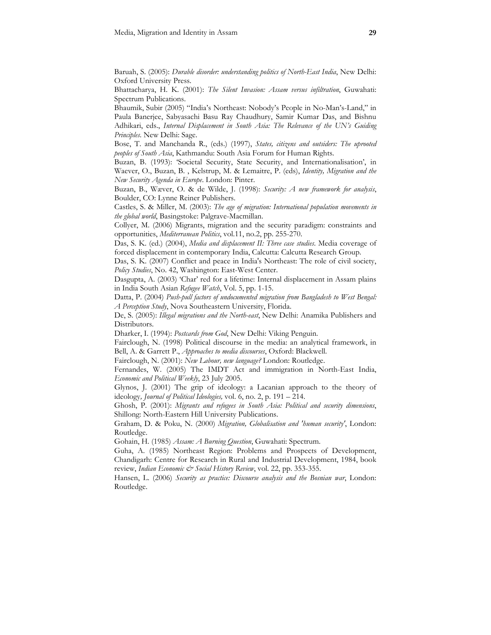Baruah, S. (2005): Durable disorder: understanding politics of North-East India, New Delhi: Oxford University Press.

Bhattacharya, H. K. (2001): The Silent Invasion: Assam versus infiltration, Guwahati: Spectrum Publications.

Bhaumik, Subir (2005) "India's Northeast: Nobody's People in No-Man's-Land," in Paula Banerjee, Sabyasachi Basu Ray Chaudhury, Samir Kumar Das, and Bishnu Adhikari, eds., Internal Displacement in South Asia: The Relevance of the UN's Guiding Principles. New Delhi: Sage.

Bose, T. and Manchanda R., (eds.) (1997), States, citizens and outsiders: The uprooted peoples of South Asia, Kathmandu: South Asia Forum for Human Rights.

Buzan, B. (1993): 'Societal Security, State Security, and Internationalisation', in Waever, O., Buzan, B., Kelstrup, M. & Lemaitre, P. (eds), Identity, Migration and the New Security Agenda in Europe. London: Pinter.

Buzan, B., Wæver, O. & de Wilde, J. (1998): Security: A new framework for analysis, Boulder, CO: Lynne Reiner Publishers.

Castles, S. & Miller, M. (2003): The age of migration: International population movements in the global world, Basingstoke: Palgrave-Macmillan.

Collyer, M. (2006) Migrants, migration and the security paradigm: constraints and opportunities, Mediterranean Politics, vol.11, no.2, pp. 255-270.

Das, S. K. (ed.) (2004), Media and displacement II: Three case studies. Media coverage of forced displacement in contemporary India, Calcutta: Calcutta Research Group.

Das, S. K. (2007) Conflict and peace in India's Northeast: The role of civil society, Policy Studies, No. 42, Washington: East-West Center.

Dasgupta, A. (2003) 'Char' red for a lifetime: Internal displacement in Assam plains in India South Asian Refugee Watch, Vol. 5, pp. 1-15.

Datta, P. (2004) Push-pull factors of undocumented migration from Bangladesh to West Bengal: A Perception Study, Nova Southeastern University, Florida.

De, S. (2005): *Illegal migrations and the North-east*, New Delhi: Anamika Publishers and Distributors.

Dharker, I. (1994): Postcards from God, New Delhi: Viking Penguin.

Fairclough, N. (1998) Political discourse in the media: an analytical framework, in Bell, A. & Garrett P., Approaches to media discourses, Oxford: Blackwell.

Fairclough, N. (2001): New Labour, new language? London: Routledge.

Fernandes, W. (2005) The IMDT Act and immigration in North-East India, Economic and Political Weekly, 23 July 2005.

Glynos, J. (2001) The grip of ideology: a Lacanian approach to the theory of ideology, Journal of Political Ideologies, vol. 6, no. 2, p. 191 - 214.

Ghosh, P. (2001): Migrants and refugees in South Asia: Political and security dimensions, Shillong: North-Eastern Hill University Publications.

Graham, D. & Poku, N. (2000) Migration, Globalisation and 'human security', London: Routledge.

Gohain, H. (1985) Assam: A Burning Question, Guwahati: Spectrum.

Guha, A. (1985) Northeast Region: Problems and Prospects of Development, Chandigarh: Centre for Research in Rural and Industrial Development, 1984, book review, Indian Economic & Social History Review, vol. 22, pp. 353-355.

Hansen, L. (2006) Security as practice: Discourse analysis and the Bosnian war, London: Routledge.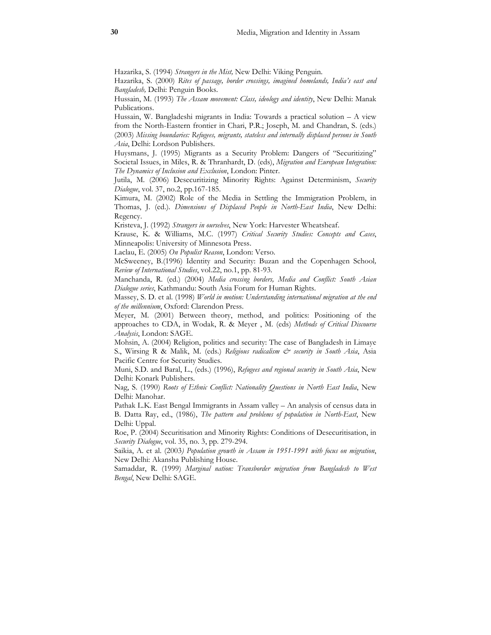Hazarika, S. (1994) Strangers in the Mist, New Delhi: Viking Penguin.

Hazarika, S. (2000) Rites of passage, border crossings, imagined homelands, India's east and Bangladesh, Delhi: Penguin Books.

Hussain, M. (1993) The Assam movement: Class, ideology and identity, New Delhi: Manak Publications.

Hussain, W. Bangladeshi migrants in India: Towards a practical solution – A view from the North-Eastern frontier in Chari, P.R.; Joseph, M. and Chandran, S. (eds.) (2003) Missing boundaries: Refugees, migrants, stateless and internally displaced persons in South Asia, Delhi: Lordson Publishers.

Huysmans, J. (1995) Migrants as a Security Problem: Dangers of "Securitizing" Societal Issues, in Miles, R. & Thranhardt, D. (eds), Migration and European Integration: The Dynamics of Inclusion and Exclusion, London: Pinter.

Jutila, M. (2006) Desecuritizing Minority Rights: Against Determinism, Security Dialogue, vol. 37, no.2, pp.167-185.

Kimura, M. (2002) Role of the Media in Settling the Immigration Problem, in Thomas, J. (ed.). Dimensions of Displaced People in North-East India, New Delhi: Regency.

Kristeva, J. (1992) Strangers in ourselves, New York: Harvester Wheatsheaf.

Krause, K. & Williams, M.C. (1997) Critical Security Studies: Concepts and Cases, Minneapolis: University of Minnesota Press.

Laclau, E. (2005) On Populist Reason, London: Verso.

McSweeney, B.(1996) Identity and Security: Buzan and the Copenhagen School, Review of International Studies, vol.22, no.1, pp. 81-93.

Manchanda, R. (ed.) (2004) Media crossing borders, Media and Conflict: South Asian Dialogue series, Kathmandu: South Asia Forum for Human Rights.

Massey, S. D. et al. (1998) World in motion: Understanding international migration at the end of the millennium, Oxford: Clarendon Press.

Meyer, M. (2001) Between theory, method, and politics: Positioning of the approaches to CDA, in Wodak, R. & Meyer, M. (eds) Methods of Critical Discourse Analysis, London: SAGE.

Mohsin, A. (2004) Religion, politics and security: The case of Bangladesh in Limaye S., Wirsing R & Malik, M. (eds.) Religious radicalism  $\dot{\mathcal{C}}$  security in South Asia, Asia Pacific Centre for Security Studies.

Muni, S.D. and Baral, L., (eds.) (1996), Refugees and regional security in South Asia, New Delhi: Konark Publishers.

Nag, S. (1990) Roots of Ethnic Conflict: Nationality Questions in North East India, New Delhi: Manohar.

Pathak L.K. East Bengal Immigrants in Assam valley – An analysis of census data in B. Datta Ray, ed., (1986), The pattern and problems of population in North-East, New Delhi: Uppal.

Roe, P. (2004) Securitisation and Minority Rights: Conditions of Desecuritisation, in Security Dialogue, vol. 35, no. 3, pp. 279-294.

Saikia, A. et al. (2003) Population growth in Assam in 1951-1991 with focus on migration, New Delhi: Akansha Publishing House.

Samaddar, R. (1999) Marginal nation: Transborder migration from Bangladesh to West Bengal, New Delhi: SAGE.